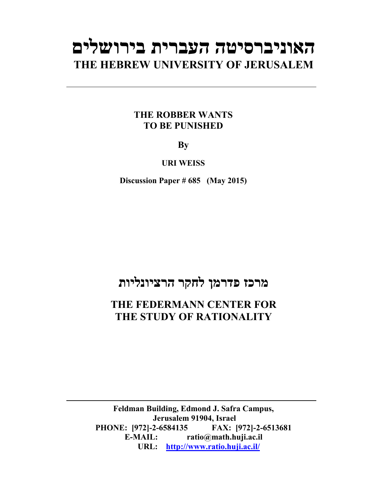# **האוניברסיטה העברית בירושלים THE HEBREW UNIVERSITY OF JERUSALEM**

## **THE ROBBER WANTS TO BE PUNISHED**

**By** 

**URI WEISS** 

**Discussion Paper # 685 (May 2015)**

## **מרכז פדרמן לחקר הרציונליות**

## **THE FEDERMANN CENTER FOR THE STUDY OF RATIONALITY**

**Feldman Building, Edmond J. Safra Campus, Jerusalem 91904, Israel PHONE: [972]-2-6584135 FAX: [972]-2-6513681 E-MAIL: ratio@math.huji.ac.il URL: http://www.ratio.huji.ac.il/**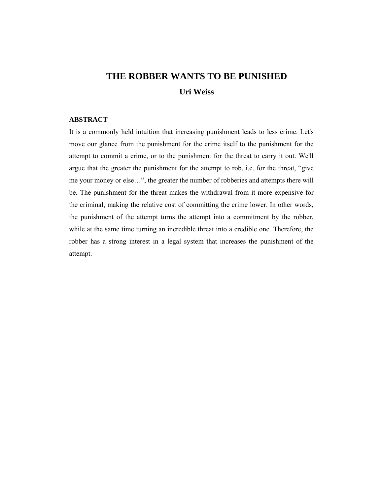## **THE ROBBER WANTS TO BE PUNISHED Uri Weiss**

#### **ABSTRACT**

It is a commonly held intuition that increasing punishment leads to less crime. Let's move our glance from the punishment for the crime itself to the punishment for the attempt to commit a crime, or to the punishment for the threat to carry it out. We'll argue that the greater the punishment for the attempt to rob, i.e. for the threat, "give me your money or else…", the greater the number of robberies and attempts there will be. The punishment for the threat makes the withdrawal from it more expensive for the criminal, making the relative cost of committing the crime lower. In other words, the punishment of the attempt turns the attempt into a commitment by the robber, while at the same time turning an incredible threat into a credible one. Therefore, the robber has a strong interest in a legal system that increases the punishment of the attempt.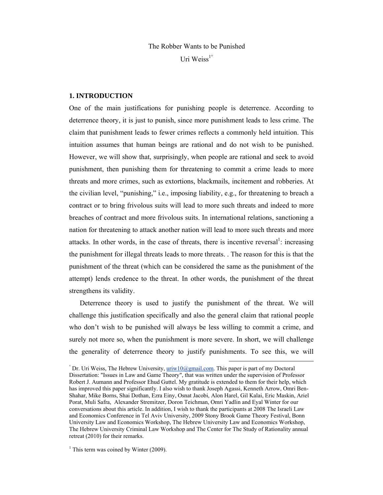## The Robber Wants to be Punished Uri Weiss $1^\circ$

#### **1. INTRODUCTION**

One of the main justifications for punishing people is deterrence. According to deterrence theory, it is just to punish, since more punishment leads to less crime. The claim that punishment leads to fewer crimes reflects a commonly held intuition. This intuition assumes that human beings are rational and do not wish to be punished. However, we will show that, surprisingly, when people are rational and seek to avoid punishment, then punishing them for threatening to commit a crime leads to more threats and more crimes, such as extortions, blackmails, incitement and robberies. At the civilian level, "punishing," i.e., imposing liability, e.g., for threatening to breach a contract or to bring frivolous suits will lead to more such threats and indeed to more breaches of contract and more frivolous suits. In international relations, sanctioning a nation for threatening to attack another nation will lead to more such threats and more attacks. In other words, in the case of threats, there is incentive reversal<sup>1</sup>: increasing the punishment for illegal threats leads to more threats. . The reason for this is that the punishment of the threat (which can be considered the same as the punishment of the attempt) lends credence to the threat. In other words, the punishment of the threat strengthens its validity.

Deterrence theory is used to justify the punishment of the threat. We will challenge this justification specifically and also the general claim that rational people who don't wish to be punished will always be less willing to commit a crime, and surely not more so, when the punishment is more severe. In short, we will challenge the generality of deterrence theory to justify punishments. To see this, we will

 $^{\circ}$  Dr. Uri Weiss, The Hebrew University,  $uriv10@gmail.com$ . This paper is part of my Doctoral</u> Dissertation: "Issues in Law and Game Theory", that was written under the supervision of Professor Robert J. Aumann and Professor Ehud Guttel. My gratitude is extended to them for their help, which has improved this paper significantly. I also wish to thank Joseph Agassi, Kenneth Arrow, Omri Ben-Shahar, Mike Borns, Shai Dothan, Ezra Einy, Osnat Jacobi, Alon Harel, Gil Kalai, Eric Maskin, Ariel Porat, Muli Safra, Alexander Stremitzer, Doron Teichman, Omri Yadlin and Eyal Winter for our conversations about this article. In addition, I wish to thank the participants at 2008 The Israeli Law and Economics Conference in Tel Aviv University, 2009 Stony Brook Game Theory Festival, Bonn University Law and Economics Workshop, The Hebrew University Law and Economics Workshop, The Hebrew University Criminal Law Workshop and The Center for The Study of Rationality annual retreat (2010) for their remarks.

<sup>&</sup>lt;sup>1</sup> This term was coined by Winter (2009).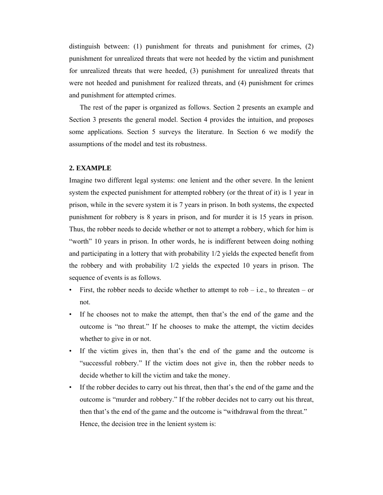distinguish between: (1) punishment for threats and punishment for crimes, (2) punishment for unrealized threats that were not heeded by the victim and punishment for unrealized threats that were heeded, (3) punishment for unrealized threats that were not heeded and punishment for realized threats, and (4) punishment for crimes and punishment for attempted crimes.

The rest of the paper is organized as follows. Section 2 presents an example and Section 3 presents the general model. Section 4 provides the intuition, and proposes some applications. Section 5 surveys the literature. In Section 6 we modify the assumptions of the model and test its robustness.

#### **2. EXAMPLE**

Imagine two different legal systems: one lenient and the other severe. In the lenient system the expected punishment for attempted robbery (or the threat of it) is 1 year in prison, while in the severe system it is 7 years in prison. In both systems, the expected punishment for robbery is 8 years in prison, and for murder it is 15 years in prison. Thus, the robber needs to decide whether or not to attempt a robbery, which for him is "worth" 10 years in prison. In other words, he is indifferent between doing nothing and participating in a lottery that with probability 1/2 yields the expected benefit from the robbery and with probability 1/2 yields the expected 10 years in prison. The sequence of events is as follows.

- First, the robber needs to decide whether to attempt to rob  $-$  i.e., to threaten  $-$  or not.
- If he chooses not to make the attempt, then that's the end of the game and the outcome is "no threat." If he chooses to make the attempt, the victim decides whether to give in or not.
- If the victim gives in, then that's the end of the game and the outcome is "successful robbery." If the victim does not give in, then the robber needs to decide whether to kill the victim and take the money.
- If the robber decides to carry out his threat, then that's the end of the game and the outcome is "murder and robbery." If the robber decides not to carry out his threat, then that's the end of the game and the outcome is "withdrawal from the threat." Hence, the decision tree in the lenient system is: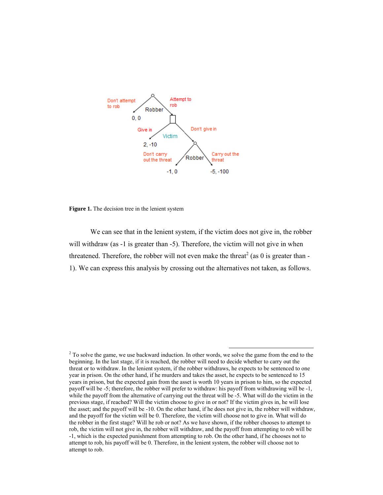

**Figure 1.** The decision tree in the lenient system

will withdraw (as -1 is greater than -5). Therefore, the victim will not give in when threatened. Therefore, the robber will not even make the threat<sup>2</sup> (as 0 is greater than -1). We can express this analysis by crossing out the alternatives not taken, as follows. We can see that in the lenient system, if the victim does not give in, the robber

 $\overline{a}$ 

 $\overline{a}$ 

<sup>&</sup>lt;sup>2</sup> To solve the game, we use backward induction. In other words, we solve the game from the end to the beginning. In the last stage, if it is reached, the robber will need to decide whether to carry out the threat or to withdraw. In the lenient system, if the robber withdraws, he expects to be sentenced to one year in prison. On the other hand, if he murders and takes the asset, he expects to be sentenced to 15 years in prison, but the expected gain from the asset is worth 10 years in prison to him, so the expected payoff will be -5; therefore, the robber will prefer to withdraw: his payoff from withdrawing will be -1, while the payoff from the alternative of carrying out the threat will be -5. What will do the victim in the previous stage, if reached? Will the victim choose to give in or not? If the victim gives in, he will lose the asset; and the payoff will be -10. On the other hand, if he does not give in, the robber will withdraw, and the payoff for the victim will be 0. Therefore, the victim will choose not to give in. What will do the robber in the first stage? Will he rob or not? As we have shown, if the robber chooses to attempt to rob, the victim will not give in, the robber will withdraw, and the payoff from attempting to rob will be -1, which is the expected punishment from attempting to rob. On the other hand, if he chooses not to attempt to rob, his payoff will be 0. Therefore, in the lenient system, the robber will choose not to attempt to rob.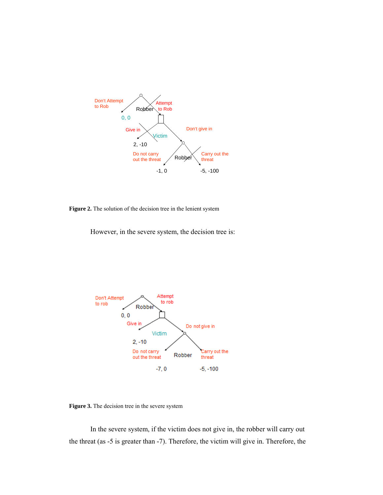

**Figure 2.** The solution of the decision tree in the lenient system

The solution of the decision tree in the lenient system<br>However, in the severe system, the decision tree is:



**Figure 3.** The decision tree in the severe system

the threat (as -5 is greater than -7). Therefore, the victim will give in. Therefore, the In the severe system, if the victim does not give in, the robber will carry out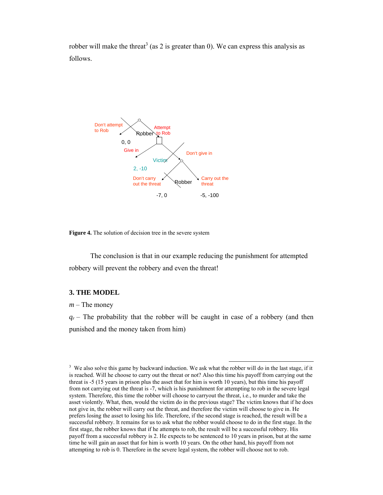robber will make the threat<sup>3</sup> (as 2 is greater than 0). We can express this analysis as follows.



**Figure 4.** The solution of decision tree in the severe system

The conclusion is that in our example reducing the punishment for attempted robbery will prevent the robbery and even the threat!

#### **3. THE MODEL**

*m* – The money

 $q_r$  – The probability that the robber will be caught in case of a robbery (and then punished and the money taken from him)

<sup>&</sup>lt;sup>3</sup> We also solve this game by backward induction. We ask what the robber will do in the last stage, if it is reached. Will he choose to carry out the threat or not? Also this time his payoff from carrying out the threat is -5 (15 years in prison plus the asset that for him is worth 10 years), but this time his payoff from not carrying out the threat is -7, which is his punishment for attempting to rob in the severe legal system. Therefore, this time the robber will choose to carryout the threat, i.e., to murder and take the asset violently. What, then, would the victim do in the previous stage? The victim knows that if he does not give in, the robber will carry out the threat, and therefore the victim will choose to give in. He prefers losing the asset to losing his life. Therefore, if the second stage is reached, the result will be a successful robbery. It remains for us to ask what the robber would choose to do in the first stage. In the first stage, the robber knows that if he attempts to rob, the result will be a successful robbery. His payoff from a successful robbery is 2. He expects to be sentenced to 10 years in prison, but at the same time he will gain an asset that for him is worth 10 years. On the other hand, his payoff from not attempting to rob is 0. Therefore in the severe legal system, the robber will choose not to rob.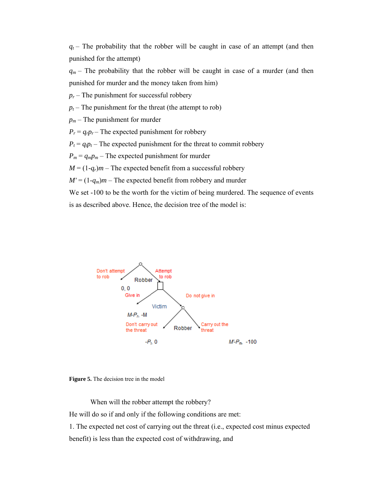$q_t$  – The probability that the robber will be caught in case of an attempt (and then punis shed for the a attempt)

 $q_m$  – The probability that the robber will be caught in case of a murder (and then punished for murder and the money taken from him)

 $p_r$  – The punishment for successful robbery

 $p_t$  – The punishment for the threat (the attempt to rob)

 $p_m$  – The punishment for murder

 $P_r = q_r p_r$  – The expected punishment for robbery

 $P_t = q_t p_t$  – The expected punishment for the threat to commit robbery

 $P_m = q_m p_m$  – The expected punishment for murder

 $M = (1-q_r)m$  – The expected benefit from a successful robbery

 $M' = (1-q_m)m$  – The expected benefit from robbery and murder

We set -100 to be the worth for the victim of being murdered. The sequence of events is as described above. Hence, the decision tree of the model is:





When will the robber attempt the robbery?

He will do so if and only if the following conditions are met:

1. The expected net cost of carrying out the threat (i.e., expected cost minus expected benefit) is less than the expected cost of withdrawing, and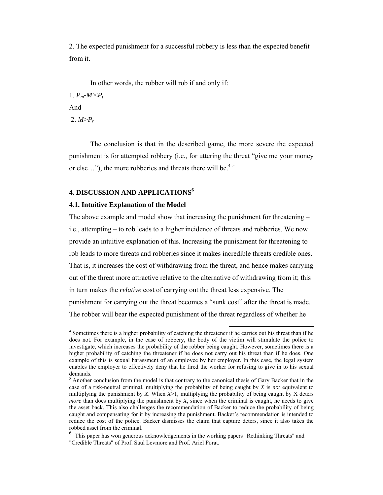2. The expected punishment for a successful robbery is less than the expected benefit from it.

In other words, the robber will rob if and only if: 1.  $P_m$ - $M' < P_t$ And 2.  $M > P_r$ 

The conclusion is that in the described game, the more severe the expected punishment is for attempted robbery (i.e., for uttering the threat "give me your money or else..."), the more robberies and threats there will be.<sup>45</sup>

#### **4. DISCUSSION AND APPLICATIONS6**

#### **4.1. Intuitive Explanation of the Model**

The above example and model show that increasing the punishment for threatening – i.e., attempting – to rob leads to a higher incidence of threats and robberies. We now provide an intuitive explanation of this. Increasing the punishment for threatening to rob leads to more threats and robberies since it makes incredible threats credible ones. That is, it increases the cost of withdrawing from the threat, and hence makes carrying out of the threat more attractive relative to the alternative of withdrawing from it; this in turn makes the *relative* cost of carrying out the threat less expensive. The punishment for carrying out the threat becomes a "sunk cost" after the threat is made. The robber will bear the expected punishment of the threat regardless of whether he

 <sup>4</sup> Sometimes there is a higher probability of catching the threatener if he carries out his threat than if he does not. For example, in the case of robbery, the body of the victim will stimulate the police to investigate, which increases the probability of the robber being caught. However, sometimes there is a higher probability of catching the threatener if he does not carry out his threat than if he does. One example of this is sexual harassment of an employee by her employer. In this case, the legal system enables the employer to effectively deny that he fired the worker for refusing to give in to his sexual demands.

 $<sup>5</sup>$  Another conclusion from the model is that contrary to the canonical thesis of Gary Backer that in the</sup> case of a risk-neutral criminal, multiplying the probability of being caught by *X* is *not* equivalent to multiplying the punishment by *X*. When  $X>1$ , multiplying the probability of being caught by X deters *more* than does multiplying the punishment by *X*, since when the criminal is caught, he needs to give the asset back. This also challenges the recommendation of Backer to reduce the probability of being caught and compensating for it by increasing the punishment. Backer's recommendation is intended to reduce the cost of the police. Backer dismisses the claim that capture deters, since it also takes the robbed asset from the criminal.

 $6$  This paper has won generous acknowledgements in the working papers "Rethinking Threats" and "Credible Threats" of Prof. Saul Levmore and Prof. Ariel Porat.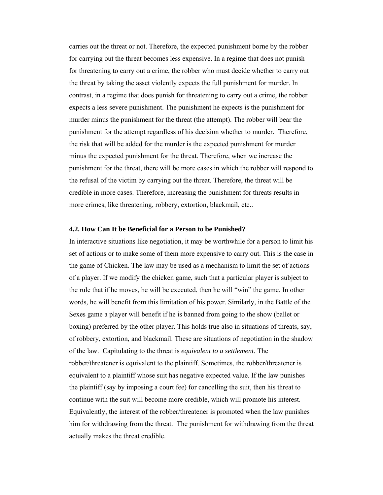carries out the threat or not. Therefore, the expected punishment borne by the robber for carrying out the threat becomes less expensive. In a regime that does not punish for threatening to carry out a crime, the robber who must decide whether to carry out the threat by taking the asset violently expects the full punishment for murder. In contrast, in a regime that does punish for threatening to carry out a crime, the robber expects a less severe punishment. The punishment he expects is the punishment for murder minus the punishment for the threat (the attempt). The robber will bear the punishment for the attempt regardless of his decision whether to murder. Therefore, the risk that will be added for the murder is the expected punishment for murder minus the expected punishment for the threat. Therefore, when we increase the punishment for the threat, there will be more cases in which the robber will respond to the refusal of the victim by carrying out the threat. Therefore, the threat will be credible in more cases. Therefore, increasing the punishment for threats results in more crimes, like threatening, robbery, extortion, blackmail, etc..

#### **4.2. How Can It be Beneficial for a Person to be Punished?**

In interactive situations like negotiation, it may be worthwhile for a person to limit his set of actions or to make some of them more expensive to carry out. This is the case in the game of Chicken. The law may be used as a mechanism to limit the set of actions of a player. If we modify the chicken game, such that a particular player is subject to the rule that if he moves, he will be executed, then he will "win" the game. In other words, he will benefit from this limitation of his power. Similarly, in the Battle of the Sexes game a player will benefit if he is banned from going to the show (ballet or boxing) preferred by the other player. This holds true also in situations of threats, say, of robbery, extortion, and blackmail. These are situations of negotiation in the shadow of the law. Capitulating to the threat is *equivalent to a settlement.* The robber/threatener is equivalent to the plaintiff. Sometimes, the robber/threatener is equivalent to a plaintiff whose suit has negative expected value. If the law punishes the plaintiff (say by imposing a court fee) for cancelling the suit, then his threat to continue with the suit will become more credible, which will promote his interest. Equivalently, the interest of the robber/threatener is promoted when the law punishes him for withdrawing from the threat. The punishment for withdrawing from the threat actually makes the threat credible.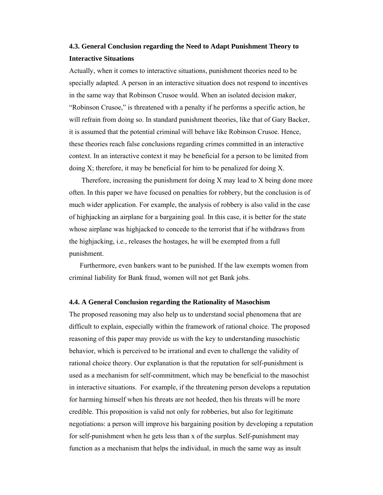### **4.3. General Conclusion regarding the Need to Adapt Punishment Theory to Interactive Situations**

Actually, when it comes to interactive situations, punishment theories need to be specially adapted. A person in an interactive situation does not respond to incentives in the same way that Robinson Crusoe would. When an isolated decision maker, "Robinson Crusoe," is threatened with a penalty if he performs a specific action, he will refrain from doing so. In standard punishment theories, like that of Gary Backer, it is assumed that the potential criminal will behave like Robinson Crusoe. Hence, these theories reach false conclusions regarding crimes committed in an interactive context. In an interactive context it may be beneficial for a person to be limited from doing X; therefore, it may be beneficial for him to be penalized for doing X.

 Therefore, increasing the punishment for doing X may lead to X being done more often. In this paper we have focused on penalties for robbery, but the conclusion is of much wider application. For example, the analysis of robbery is also valid in the case of highjacking an airplane for a bargaining goal. In this case, it is better for the state whose airplane was highjacked to concede to the terrorist that if he withdraws from the highjacking, i.e., releases the hostages, he will be exempted from a full punishment.

Furthermore, even bankers want to be punished. If the law exempts women from criminal liability for Bank fraud, women will not get Bank jobs.

#### **4.4. A General Conclusion regarding the Rationality of Masochism**

The proposed reasoning may also help us to understand social phenomena that are difficult to explain, especially within the framework of rational choice. The proposed reasoning of this paper may provide us with the key to understanding masochistic behavior, which is perceived to be irrational and even to challenge the validity of rational choice theory. Our explanation is that the reputation for self-punishment is used as a mechanism for self-commitment, which may be beneficial to the masochist in interactive situations. For example, if the threatening person develops a reputation for harming himself when his threats are not heeded, then his threats will be more credible. This proposition is valid not only for robberies, but also for legitimate negotiations: a person will improve his bargaining position by developing a reputation for self-punishment when he gets less than x of the surplus. Self-punishment may function as a mechanism that helps the individual, in much the same way as insult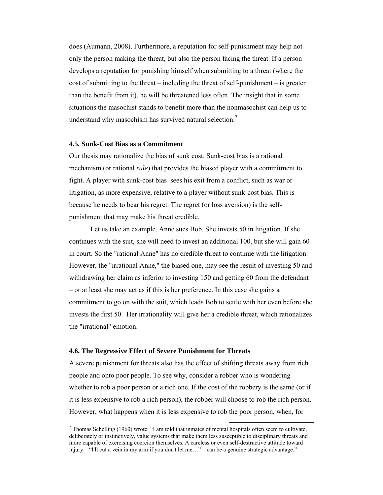does (Aumann, 2008). Furthermore, a reputation for self-punishment may help not only the person making the threat, but also the person facing the threat. If a person develops a reputation for punishing himself when submitting to a threat (where the cost of submitting to the threat – including the threat of self-punishment – is greater than the benefit from it), he will be threatened less often. The insight that in some situations the masochist stands to benefit more than the nonmasochist can help us to understand why masochism has survived natural selection.<sup>7</sup>

#### **4.5. Sunk-Cost Bias as a Commitment**

Our thesis may rationalize the bias of sunk cost. Sunk-cost bias is a rational mechanism (or rational *rule*) that provides the biased player with a commitment to fight. A player with sunk-cost bias sees his exit from a conflict, such as war or litigation, as more expensive, relative to a player without sunk-cost bias. This is because he needs to bear his regret. The regret (or loss aversion) is the selfpunishment that may make his threat credible.

Let us take an example. Anne sues Bob. She invests 50 in litigation. If she continues with the suit, she will need to invest an additional 100, but she will gain 60 in court. So the "rational Anne" has no credible threat to continue with the litigation. However, the "irrational Anne," the biased one, may see the result of investing 50 and withdrawing her claim as inferior to investing 150 and getting 60 from the defendant – or at least she may act as if this is her preference. In this case she gains a commitment to go on with the suit, which leads Bob to settle with her even before she invests the first 50. Her irrationality will give her a credible threat, which rationalizes the "irrational" emotion.

#### **4.6. The Regressive Effect of Severe Punishment for Threats**

A severe punishment for threats also has the effect of shifting threats away from rich people and onto poor people. To see why, consider a robber who is wondering whether to rob a poor person or a rich one. If the cost of the robbery is the same (or if it is less expensive to rob a rich person), the robber will choose to rob the rich person. However, what happens when it is less expensive to rob the poor person, when, for

<sup>&</sup>lt;sup>7</sup> Thomas Schelling (1960) wrote: "I am told that inmates of mental hospitals often seem to cultivate, deliberately or instinctively, value systems that make them less susceptible to disciplinary threats and more capable of exercising coercion themselves. A careless or even self-destructive attitude toward injury – "I'll cut a vein in my arm if you don't let me..." – can be a genuine strategic advantage."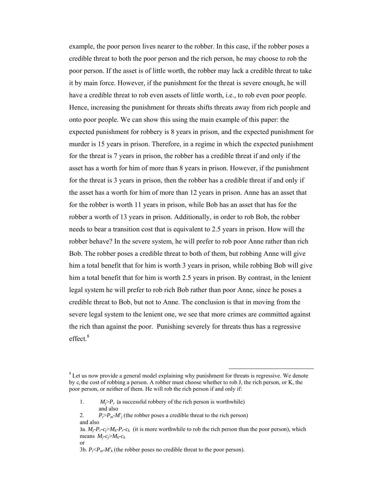example, the poor person lives nearer to the robber. In this case, if the robber poses a credible threat to both the poor person and the rich person, he may choose to rob the poor person. If the asset is of little worth, the robber may lack a credible threat to take it by main force. However, if the punishment for the threat is severe enough, he will have a credible threat to rob even assets of little worth, i.e., to rob even poor people. Hence, increasing the punishment for threats shifts threats away from rich people and onto poor people. We can show this using the main example of this paper: the expected punishment for robbery is 8 years in prison, and the expected punishment for murder is 15 years in prison. Therefore, in a regime in which the expected punishment for the threat is 7 years in prison, the robber has a credible threat if and only if the asset has a worth for him of more than 8 years in prison. However, if the punishment for the threat is 3 years in prison, then the robber has a credible threat if and only if the asset has a worth for him of more than 12 years in prison. Anne has an asset that for the robber is worth 11 years in prison, while Bob has an asset that has for the robber a worth of 13 years in prison. Additionally, in order to rob Bob, the robber needs to bear a transition cost that is equivalent to 2.5 years in prison. How will the robber behave? In the severe system, he will prefer to rob poor Anne rather than rich Bob. The robber poses a credible threat to both of them, but robbing Anne will give him a total benefit that for him is worth 3 years in prison, while robbing Bob will give him a total benefit that for him is worth 2.5 years in prison. By contrast, in the lenient legal system he will prefer to rob rich Bob rather than poor Anne, since he poses a credible threat to Bob, but not to Anne. The conclusion is that in moving from the severe legal system to the lenient one, we see that more crimes are committed against the rich than against the poor. Punishing severely for threats thus has a regressive  $effect$ <sup>8</sup>

- 1.  $M_i > P_r$  (a successful robbery of the rich person is worthwhile) and also
- 2.  $P_{\epsilon} > P_{m}M'$  (the robber poses a credible threat to the rich person) and also
- 3a.  $M_i-P_i-c_i\geq M_k-P_i-c_k$  (it is more worthwhile to rob the rich person than the poor person), which means  $M_i$ - $c_i$ > $M_k$ - $c_k$
- or

 $8$  Let us now provide a general model explaining why punishment for threats is regressive. We denote by  $c_i$  the cost of robbing a person. A robber must choose whether to rob J, the rich person, or K, the poor person, or neither of them. He will rob the rich person if and only if:

<sup>3</sup>b.  $P_f \leq P_m - M'_k$  (the robber poses no credible threat to the poor person).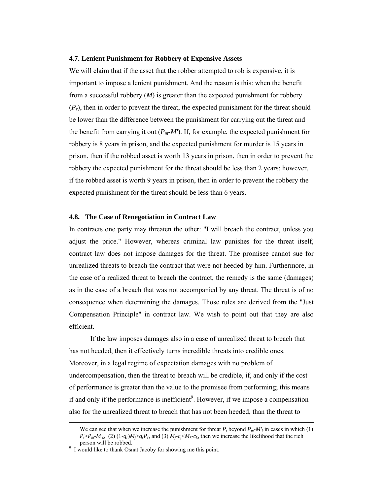#### **4.7. Lenient Punishment for Robbery of Expensive Assets**

We will claim that if the asset that the robber attempted to rob is expensive, it is important to impose a lenient punishment. And the reason is this: when the benefit from a successful robbery (*M*) is greater than the expected punishment for robbery  $(P_r)$ , then in order to prevent the threat, the expected punishment for the threat should be lower than the difference between the punishment for carrying out the threat and the benefit from carrying it out  $(P_m \cdot M')$ . If, for example, the expected punishment for robbery is 8 years in prison, and the expected punishment for murder is 15 years in prison, then if the robbed asset is worth 13 years in prison, then in order to prevent the robbery the expected punishment for the threat should be less than 2 years; however, if the robbed asset is worth 9 years in prison, then in order to prevent the robbery the expected punishment for the threat should be less than 6 years.

#### **4.8. The Case of Renegotiation in Contract Law**

In contracts one party may threaten the other: "I will breach the contract, unless you adjust the price." However, whereas criminal law punishes for the threat itself, contract law does not impose damages for the threat. The promisee cannot sue for unrealized threats to breach the contract that were not heeded by him. Furthermore, in the case of a realized threat to breach the contract, the remedy is the same (damages) as in the case of a breach that was not accompanied by any threat. The threat is of no consequence when determining the damages. Those rules are derived from the "Just Compensation Principle" in contract law. We wish to point out that they are also efficient.

If the law imposes damages also in a case of unrealized threat to breach that has not heeded, then it effectively turns incredible threats into credible ones. Moreover, in a legal regime of expectation damages with no problem of undercompensation, then the threat to breach will be credible, if, and only if the cost of performance is greater than the value to the promisee from performing; this means if and only if the performance is inefficient<sup>9</sup>. However, if we impose a compensation also for the unrealized threat to breach that has not been heeded, than the threat to

We can see that when we increase the punishment for threat  $P_t$  beyond  $P_m$ - $M'_k$  in cases in which (1)  $P_t > P_m$ -*M'k*, (2) (1-*q<sub>r</sub>*)*M<sub>j</sub>*>*q<sub>r</sub>P<sub>r</sub>*, and (3)  $M_f$ -*c<sub>j</sub>*< $M_k$ -*c<sub>k</sub>*, then we increase the likelihood that the rich person will be robbed.

person will be robbed. 9 I would like to thank Osnat Jacoby for showing me this point.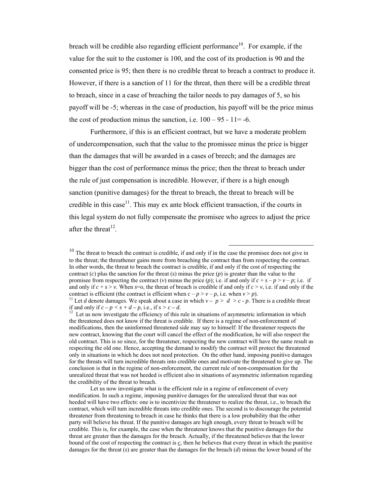breach will be credible also regarding efficient performance<sup>10</sup>. For example, if the value for the suit to the customer is 100, and the cost of its production is 90 and the consented price is 95; then there is no credible threat to breach a contract to produce it. However, if there is a sanction of 11 for the threat, then there will be a credible threat to breach, since in a case of breaching the tailor needs to pay damages of 5, so his payoff will be -5; whereas in the case of production, his payoff will be the price minus the cost of production minus the sanction, i.e.  $100 - 95 - 11 = -6$ .

Furthermore, if this is an efficient contract, but we have a moderate problem of undercompensation, such that the value to the promissee minus the price is bigger than the damages that will be awarded in a cases of breech; and the damages are bigger than the cost of performance minus the price; then the threat to breach under the rule of just compensation is incredible. However, if there is a high enough sanction (punitive damages) for the threat to breach, the threat to breach will be credible in this case<sup>11</sup>. This may ex ante block efficient transaction, if the courts in this legal system do not fully compensate the promisee who agrees to adjust the price after the threat<sup>12</sup>.

 Let us now investigate what is the efficient rule in a regime of enforcement of every modification. In such a regime, imposing punitive damages for the unrealized threat that was not heeded will have two effects: one is to incentivize the threatener to realize the threat, i.e., to breach the contract, which will turn incredible threats into credible ones. The second is to discourage the potential threatener from threatening to breach in case he thinks that there is a low probability that the other party will believe his threat. If the punitive damages are high enough, every threat to breach will be credible. This is, for example, the case when the threatener knows that the punitive damages for the threat are greater than the damages for the breach. Actually, if the threatened believes that the lower bound of the cost of respecting the contract is *c*, then he believes that every threat in which the punitive damages for the threat (*s*) are greater than the damages for the breach (*d*) minus the lower bound of the

 $10$  The threat to breach the contract is credible, if and only if in the case the promisee does not give in to the threat; the threathener gains more from breaching the contract than from respecting the contract. In other words, the threat to breach the contract is credible, if and only if the cost of respecting the contract  $(c)$  plus the sanction for the threat  $(s)$  minus the price  $(p)$  is greater than the value to the promisee from respecting the contract (*v*) minus the price (*p*); i.e. if and only if  $c + s - p > v - p$ ; i.e. if and only if  $c + s > v$ . When  $s = 0$ , the threat of breach is credible if and only if  $c > v$ , i.e. if and only if the

contract is efficient (the contract is efficient when  $c - p > v - p$ , i.e. when  $v > p$ ).<br><sup>11</sup> Let *d* denote damages. We speak about a case in which  $v - p > d > c \cdot p$ . There is a credible threat if and only if  $c - p < s + d - p$ , i.e., if

<sup>&</sup>lt;sup>12</sup> Let us now investigate the efficiency of this rule in situations of asymmetric information in which the threatened does not know if the threat is credible. If there is a regime of non-enforcement of modifications, then the uninformed threatened side may say to himself: If the threatener respects the new contract, knowing that the court will cancel the effect of the modification, he will also respect the old contract. This is so since, for the threatener, respecting the new contract will have the same result as respecting the old one. Hence, accepting the demand to modify the contract will protect the threatened only in situations in which he does not need protection. On the other hand, imposing punitive damages for the threats will turn incredible threats into credible ones and motivate the threatened to give up. The conclusion is that in the regime of non-enforcement, the current rule of non-compensation for the unrealized threat that was not heeded is efficient also in situations of asymmetric information regarding the credibility of the threat to breach.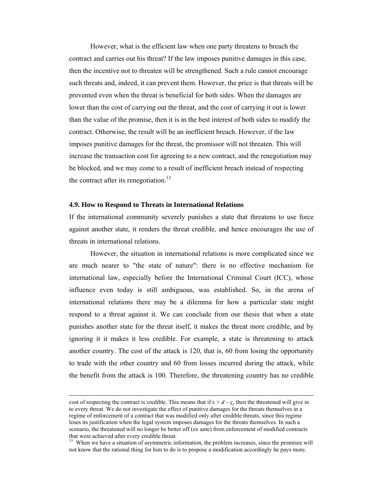However, what is the efficient law when one party threatens to breach the contract and carries out his threat? If the law imposes punitive damages in this case, then the incentive not to threaten will be strengthened. Such a rule cannot encourage such threats and, indeed, it can prevent them. However, the price is that threats will be prevented even when the threat is beneficial for both sides. When the damages are lower than the cost of carrying out the threat, and the cost of carrying it out is lower than the value of the promise, then it is in the best interest of both sides to modify the contract. Otherwise, the result will be an inefficient breach. However, if the law imposes punitive damages for the threat, the promissor will not threaten. This will increase the transaction cost for agreeing to a new contract, and the renegotiation may be blocked, and we may come to a result of inefficient breach instead of respecting the contract after its renegotiation.<sup>13</sup>

#### **4.9. How to Respond to Threats in International Relations**

If the international community severely punishes a state that threatens to use force against another state, it renders the threat credible, and hence encourages the use of threats in international relations.

However, the situation in international relations is more complicated since we are much nearer to "the state of nature": there is no effective mechanism for international law, especially before the International Criminal Court (ICC), whose influence even today is still ambiguous, was established. So, in the arena of international relations there may be a dilemma for how a particular state might respond to a threat against it. We can conclude from our thesis that when a state punishes another state for the threat itself, it makes the threat more credible, and by ignoring it it makes it less credible. For example, a state is threatening to attack another country. The cost of the attack is 120, that is, 60 from losing the opportunity to trade with the other country and 60 from losses incurred during the attack, while the benefit from the attack is 100. Therefore, the threatening country has no credible

cost of respecting the contract is credible. This means that if  $s > d - g$ , then the threatened will give in to every threat. We do not investigate the effect of punitive damages for the threats themselves in a regime of enforcement of a contract that was modified only after credible threats, since this regime loses its justification when the legal system imposes damages for the threats themselves. In such a scenario, the threatened will no longer be better off (ex ante) from enforcement of modified contracts that were achieved after every credible threat.

<sup>&</sup>lt;sup>13</sup> When we have a situation of asymmetric information, the problem increases, since the promisee will not know that the rational thing for him to do is to propose a modification accordingly he pays more.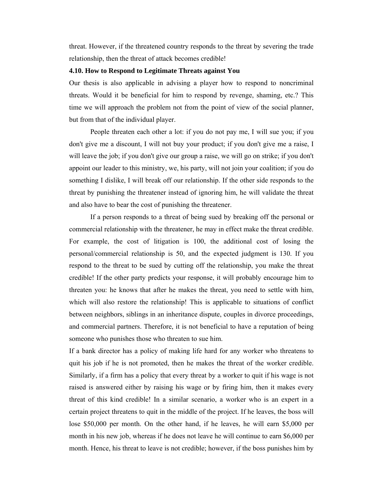threat. However, if the threatened country responds to the threat by severing the trade relationship, then the threat of attack becomes credible!

#### **4.10. How to Respond to Legitimate Threats against You**

Our thesis is also applicable in advising a player how to respond to noncriminal threats. Would it be beneficial for him to respond by revenge, shaming, etc.? This time we will approach the problem not from the point of view of the social planner, but from that of the individual player.

People threaten each other a lot: if you do not pay me, I will sue you; if you don't give me a discount, I will not buy your product; if you don't give me a raise, I will leave the job; if you don't give our group a raise, we will go on strike; if you don't appoint our leader to this ministry, we, his party, will not join your coalition; if you do something I dislike, I will break off our relationship. If the other side responds to the threat by punishing the threatener instead of ignoring him, he will validate the threat and also have to bear the cost of punishing the threatener.

If a person responds to a threat of being sued by breaking off the personal or commercial relationship with the threatener, he may in effect make the threat credible. For example, the cost of litigation is 100, the additional cost of losing the personal/commercial relationship is 50, and the expected judgment is 130. If you respond to the threat to be sued by cutting off the relationship, you make the threat credible! If the other party predicts your response, it will probably encourage him to threaten you: he knows that after he makes the threat, you need to settle with him, which will also restore the relationship! This is applicable to situations of conflict between neighbors, siblings in an inheritance dispute, couples in divorce proceedings, and commercial partners. Therefore, it is not beneficial to have a reputation of being someone who punishes those who threaten to sue him.

If a bank director has a policy of making life hard for any worker who threatens to quit his job if he is not promoted, then he makes the threat of the worker credible. Similarly, if a firm has a policy that every threat by a worker to quit if his wage is not raised is answered either by raising his wage or by firing him, then it makes every threat of this kind credible! In a similar scenario, a worker who is an expert in a certain project threatens to quit in the middle of the project. If he leaves, the boss will lose \$50,000 per month. On the other hand, if he leaves, he will earn \$5,000 per month in his new job, whereas if he does not leave he will continue to earn \$6,000 per month. Hence, his threat to leave is not credible; however, if the boss punishes him by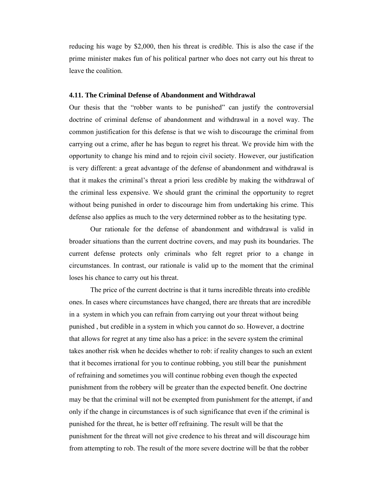reducing his wage by \$2,000, then his threat is credible. This is also the case if the prime minister makes fun of his political partner who does not carry out his threat to leave the coalition.

#### **4.11. The Criminal Defense of Abandonment and Withdrawal**

Our thesis that the "robber wants to be punished" can justify the controversial doctrine of criminal defense of abandonment and withdrawal in a novel way. The common justification for this defense is that we wish to discourage the criminal from carrying out a crime, after he has begun to regret his threat. We provide him with the opportunity to change his mind and to rejoin civil society. However, our justification is very different: a great advantage of the defense of abandonment and withdrawal is that it makes the criminal's threat a priori less credible by making the withdrawal of the criminal less expensive. We should grant the criminal the opportunity to regret without being punished in order to discourage him from undertaking his crime. This defense also applies as much to the very determined robber as to the hesitating type.

Our rationale for the defense of abandonment and withdrawal is valid in broader situations than the current doctrine covers, and may push its boundaries. The current defense protects only criminals who felt regret prior to a change in circumstances. In contrast, our rationale is valid up to the moment that the criminal loses his chance to carry out his threat.

The price of the current doctrine is that it turns incredible threats into credible ones. In cases where circumstances have changed, there are threats that are incredible in a system in which you can refrain from carrying out your threat without being punished , but credible in a system in which you cannot do so. However, a doctrine that allows for regret at any time also has a price: in the severe system the criminal takes another risk when he decides whether to rob: if reality changes to such an extent that it becomes irrational for you to continue robbing, you still bear the punishment of refraining and sometimes you will continue robbing even though the expected punishment from the robbery will be greater than the expected benefit. One doctrine may be that the criminal will not be exempted from punishment for the attempt, if and only if the change in circumstances is of such significance that even if the criminal is punished for the threat, he is better off refraining. The result will be that the punishment for the threat will not give credence to his threat and will discourage him from attempting to rob. The result of the more severe doctrine will be that the robber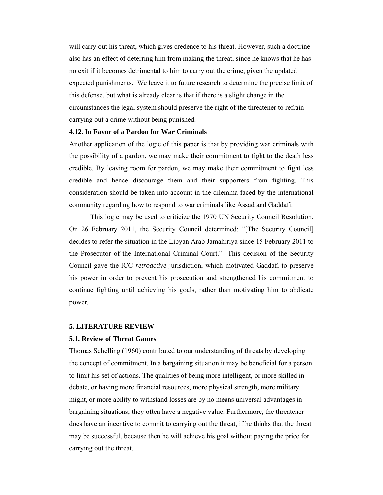will carry out his threat, which gives credence to his threat. However, such a doctrine also has an effect of deterring him from making the threat, since he knows that he has no exit if it becomes detrimental to him to carry out the crime, given the updated expected punishments. We leave it to future research to determine the precise limit of this defense, but what is already clear is that if there is a slight change in the circumstances the legal system should preserve the right of the threatener to refrain carrying out a crime without being punished.

#### **4.12. In Favor of a Pardon for War Criminals**

Another application of the logic of this paper is that by providing war criminals with the possibility of a pardon, we may make their commitment to fight to the death less credible. By leaving room for pardon, we may make their commitment to fight less credible and hence discourage them and their supporters from fighting. This consideration should be taken into account in the dilemma faced by the international community regarding how to respond to war criminals like Assad and Gaddafi.

This logic may be used to criticize the 1970 UN Security Council Resolution. On 26 February 2011, the Security Council determined: "[The Security Council] decides to refer the situation in the Libyan Arab Jamahiriya since 15 February 2011 to the Prosecutor of the International Criminal Court." This decision of the Security Council gave the ICC *retroactive* jurisdiction, which motivated Gaddafi to preserve his power in order to prevent his prosecution and strengthened his commitment to continue fighting until achieving his goals, rather than motivating him to abdicate power.

#### **5. LITERATURE REVIEW**

#### **5.1. Review of Threat Games**

Thomas Schelling (1960) contributed to our understanding of threats by developing the concept of commitment. In a bargaining situation it may be beneficial for a person to limit his set of actions. The qualities of being more intelligent, or more skilled in debate, or having more financial resources, more physical strength, more military might, or more ability to withstand losses are by no means universal advantages in bargaining situations; they often have a negative value. Furthermore, the threatener does have an incentive to commit to carrying out the threat, if he thinks that the threat may be successful, because then he will achieve his goal without paying the price for carrying out the threat.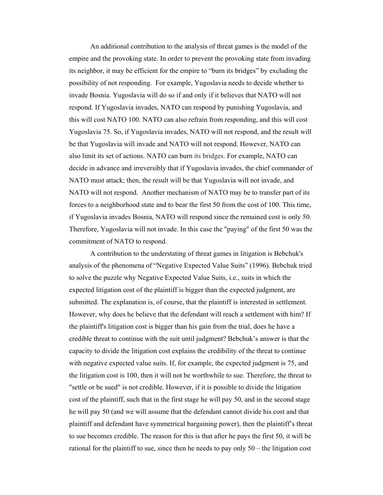An additional contribution to the analysis of threat games is the model of the empire and the provoking state. In order to prevent the provoking state from invading its neighbor, it may be efficient for the empire to "burn its bridges" by excluding the possibility of not responding. For example, Yugoslavia needs to decide whether to invade Bosnia. Yugoslavia will do so if and only if it believes that NATO will not respond. If Yugoslavia invades, NATO can respond by punishing Yugoslavia, and this will cost NATO 100. NATO can also refrain from responding, and this will cost Yugoslavia 75. So, if Yugoslavia invades, NATO will not respond, and the result will be that Yugoslavia will invade and NATO will not respond. However, NATO can also limit its set of actions. NATO can burn its bridges. For example, NATO can decide in advance and irreversibly that if Yugoslavia invades, the chief commander of NATO must attack; then, the result will be that Yugoslavia will not invade, and NATO will not respond. Another mechanism of NATO may be to transfer part of its forces to a neighborhood state and to bear the first 50 from the cost of 100. This time, if Yugoslavia invades Bosnia, NATO will respond since the remained cost is only 50. Therefore, Yugoslavia will not invade. In this case the "paying" of the first 50 was the commitment of NATO to respond.

A contribution to the understating of threat games in litigation is Bebchuk's analysis of the phenomena of "Negative Expected Value Suits" (1996). Bebchuk tried to solve the puzzle why Negative Expected Value Suits, i.e., suits in which the expected litigation cost of the plaintiff is bigger than the expected judgment, are submitted. The explanation is, of course, that the plaintiff is interested in settlement. However, why does he believe that the defendant will reach a settlement with him? If the plaintiff's litigation cost is bigger than his gain from the trial, does he have a credible threat to continue with the suit until judgment? Bebchuk's answer is that the capacity to divide the litigation cost explains the credibility of the threat to continue with negative expected value suits. If, for example, the expected judgment is 75, and the litigation cost is 100, then it will not be worthwhile to sue. Therefore, the threat to "settle or be sued" is not credible. However, if it is possible to divide the litigation cost of the plaintiff, such that in the first stage he will pay 50, and in the second stage he will pay 50 (and we will assume that the defendant cannot divide his cost and that plaintiff and defendant have symmetrical bargaining power), then the plaintiff's threat to sue becomes credible. The reason for this is that after he pays the first 50, it will be rational for the plaintiff to sue, since then he needs to pay only 50 – the litigation cost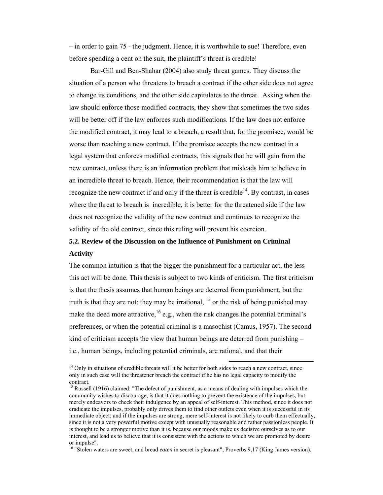– in order to gain 75 - the judgment. Hence, it is worthwhile to sue! Therefore, even before spending a cent on the suit, the plaintiff's threat is credible!

Bar-Gill and Ben-Shahar (2004) also study threat games. They discuss the situation of a person who threatens to breach a contract if the other side does not agree to change its conditions, and the other side capitulates to the threat. Asking when the law should enforce those modified contracts, they show that sometimes the two sides will be better off if the law enforces such modifications. If the law does not enforce the modified contract, it may lead to a breach, a result that, for the promisee, would be worse than reaching a new contract. If the promisee accepts the new contract in a legal system that enforces modified contracts, this signals that he will gain from the new contract, unless there is an information problem that misleads him to believe in an incredible threat to breach. Hence, their recommendation is that the law will recognize the new contract if and only if the threat is credible $14$ . By contrast, in cases where the threat to breach is incredible, it is better for the threatened side if the law does not recognize the validity of the new contract and continues to recognize the validity of the old contract, since this ruling will prevent his coercion.

## **5.2. Review of the Discussion on the Influence of Punishment on Criminal Activity**

The common intuition is that the bigger the punishment for a particular act, the less this act will be done. This thesis is subject to two kinds of criticism. The first criticism is that the thesis assumes that human beings are deterred from punishment, but the truth is that they are not: they may be irrational,  $^{15}$  or the risk of being punished may make the deed more attractive,  $^{16}$  e.g., when the risk changes the potential criminal's preferences, or when the potential criminal is a masochist (Camus, 1957). The second kind of criticism accepts the view that human beings are deterred from punishing  $$ i.e., human beings, including potential criminals, are rational, and that their

<sup>&</sup>lt;sup>14</sup> Only in situations of credible threats will it be better for both sides to reach a new contract, since only in such case will the threatener breach the contract if he has no legal capacity to modify the contract.

<sup>&</sup>lt;sup>15</sup> Russell (1916) claimed: "The defect of punishment, as a means of dealing with impulses which the community wishes to discourage, is that it does nothing to prevent the existence of the impulses, but merely endeavors to check their indulgence by an appeal of self-interest. This method, since it does not eradicate the impulses, probably only drives them to find other outlets even when it is successful in its immediate object; and if the impulses are strong, mere self-interest is not likely to curb them effectually, since it is not a very powerful motive except with unusually reasonable and rather passionless people. It is thought to be a stronger motive than it is, because our moods make us decisive ourselves as to our interest, and lead us to believe that it is consistent with the actions to which we are promoted by desire or impulse".

<sup>&</sup>lt;sup>16</sup> "Stolen waters are sweet, and bread *eaten* in secret is pleasant"; Proverbs 9,17 (King James version).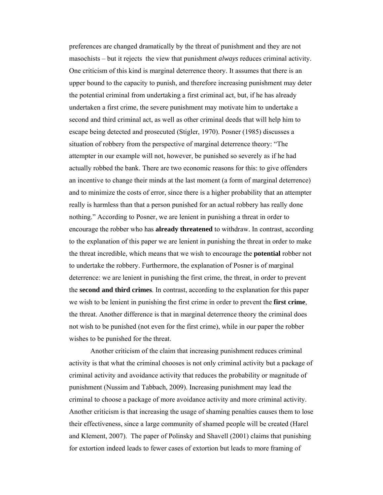preferences are changed dramatically by the threat of punishment and they are not masochists – but it rejects the view that punishment *always* reduces criminal activity. One criticism of this kind is marginal deterrence theory. It assumes that there is an upper bound to the capacity to punish, and therefore increasing punishment may deter the potential criminal from undertaking a first criminal act, but, if he has already undertaken a first crime, the severe punishment may motivate him to undertake a second and third criminal act, as well as other criminal deeds that will help him to escape being detected and prosecuted (Stigler, 1970). Posner (1985) discusses a situation of robbery from the perspective of marginal deterrence theory: "The attempter in our example will not, however, be punished so severely as if he had actually robbed the bank. There are two economic reasons for this: to give offenders an incentive to change their minds at the last moment (a form of marginal deterrence) and to minimize the costs of error, since there is a higher probability that an attempter really is harmless than that a person punished for an actual robbery has really done nothing." According to Posner, we are lenient in punishing a threat in order to encourage the robber who has **already threatened** to withdraw. In contrast, according to the explanation of this paper we are lenient in punishing the threat in order to make the threat incredible, which means that we wish to encourage the **potential** robber not to undertake the robbery. Furthermore, the explanation of Posner is of marginal deterrence: we are lenient in punishing the first crime, the threat, in order to prevent the **second and third crimes**. In contrast, according to the explanation for this paper we wish to be lenient in punishing the first crime in order to prevent the **first crime**, the threat. Another difference is that in marginal deterrence theory the criminal does not wish to be punished (not even for the first crime), while in our paper the robber wishes to be punished for the threat.

Another criticism of the claim that increasing punishment reduces criminal activity is that what the criminal chooses is not only criminal activity but a package of criminal activity and avoidance activity that reduces the probability or magnitude of punishment (Nussim and Tabbach, 2009). Increasing punishment may lead the criminal to choose a package of more avoidance activity and more criminal activity. Another criticism is that increasing the usage of shaming penalties causes them to lose their effectiveness, since a large community of shamed people will be created (Harel and Klement, 2007). The paper of Polinsky and Shavell (2001) claims that punishing for extortion indeed leads to fewer cases of extortion but leads to more framing of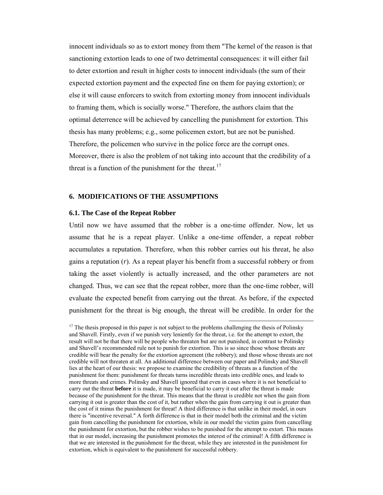innocent individuals so as to extort money from them "The kernel of the reason is that sanctioning extortion leads to one of two detrimental consequences: it will either fail to deter extortion and result in higher costs to innocent individuals (the sum of their expected extortion payment and the expected fine on them for paying extortion); or else it will cause enforcers to switch from extorting money from innocent individuals to framing them, which is socially worse." Therefore, the authors claim that the optimal deterrence will be achieved by cancelling the punishment for extortion. This thesis has many problems; e.g., some policemen extort, but are not be punished. Therefore, the policemen who survive in the police force are the corrupt ones. Moreover, there is also the problem of not taking into account that the credibility of a threat is a function of the punishment for the threat.<sup>17</sup>

#### **6. MODIFICATIONS OF THE ASSUMPTIONS**

#### **6.1. The Case of the Repeat Robber**

Until now we have assumed that the robber is a one-time offender. Now, let us assume that he is a repeat player. Unlike a one-time offender, a repeat robber accumulates a reputation. Therefore, when this robber carries out his threat, he also gains a reputation (*r*). As a repeat player his benefit from a successful robbery or from taking the asset violently is actually increased, and the other parameters are not changed. Thus, we can see that the repeat robber, more than the one-time robber, will evaluate the expected benefit from carrying out the threat. As before, if the expected punishment for the threat is big enough, the threat will be credible. In order for the

 $17$  The thesis proposed in this paper is not subject to the problems challenging the thesis of Polinsky and Shavell. Firstly, even if we punish very leniently for the threat, i.e. for the attempt to extort, the result will not be that there will be people who threaten but are not punished, in contrast to Polinsky and Shavell's recommended rule not to punish for extortion. This is so since those whose threats are credible will bear the penalty for the extortion agreement (the robbery); and those whose threats are not credible will not threaten at all. An additional difference between our paper and Polinsky and Shavell lies at the heart of our thesis: we propose to examine the credibility of threats as a function of the punishment for them: punishment for threats turns incredible threats into credible ones, and leads to more threats and crimes. Polinsky and Shavell ignored that even in cases where it is not beneficial to carry out the threat **before** it is made, it may be beneficial to carry it out after the threat is made because of the punishment for the threat. This means that the threat is credible not when the gain from carrying it out is greater than the cost of it, but rather when the gain from carrying it out is greater than the cost of it minus the punishment for threat! A third difference is that unlike in their model, in ours there is "incentive reversal." A forth difference is that in their model both the criminal and the victim gain from cancelling the punishment for extortion, while in our model the victim gains from cancelling the punishment for extortion, but the robber wishes to be punished for the attempt to extort. This means that in our model, increasing the punishment promotes the interest of the criminal! A fifth difference is that we are interested in the punishment for the threat, while they are interested in the punishment for extortion, which is equivalent to the punishment for successful robbery.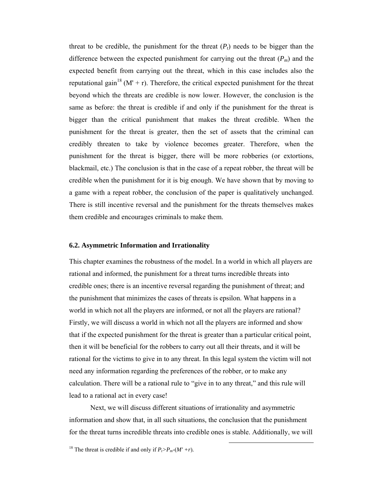threat to be credible, the punishment for the threat  $(P_t)$  needs to be bigger than the difference between the expected punishment for carrying out the threat  $(P_m)$  and the expected benefit from carrying out the threat, which in this case includes also the reputational gain<sup>18</sup> (M' + r). Therefore, the critical expected punishment for the threat beyond which the threats are credible is now lower. However, the conclusion is the same as before: the threat is credible if and only if the punishment for the threat is bigger than the critical punishment that makes the threat credible. When the punishment for the threat is greater, then the set of assets that the criminal can credibly threaten to take by violence becomes greater. Therefore, when the punishment for the threat is bigger, there will be more robberies (or extortions, blackmail, etc.) The conclusion is that in the case of a repeat robber, the threat will be credible when the punishment for it is big enough. We have shown that by moving to a game with a repeat robber, the conclusion of the paper is qualitatively unchanged. There is still incentive reversal and the punishment for the threats themselves makes them credible and encourages criminals to make them.

#### **6.2. Asymmetric Information and Irrationality**

This chapter examines the robustness of the model. In a world in which all players are rational and informed, the punishment for a threat turns incredible threats into credible ones; there is an incentive reversal regarding the punishment of threat; and the punishment that minimizes the cases of threats is epsilon. What happens in a world in which not all the players are informed, or not all the players are rational? Firstly, we will discuss a world in which not all the players are informed and show that if the expected punishment for the threat is greater than a particular critical point, then it will be beneficial for the robbers to carry out all their threats, and it will be rational for the victims to give in to any threat. In this legal system the victim will not need any information regarding the preferences of the robber, or to make any calculation. There will be a rational rule to "give in to any threat," and this rule will lead to a rational act in every case!

Next, we will discuss different situations of irrationality and asymmetric information and show that, in all such situations, the conclusion that the punishment for the threat turns incredible threats into credible ones is stable. Additionally, we will

<sup>&</sup>lt;sup>18</sup> The threat is credible if and only if  $P_t > P_m$ -(M' + r).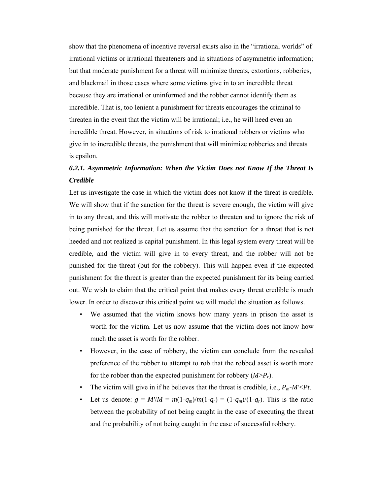show that the phenomena of incentive reversal exists also in the "irrational worlds" of irrational victims or irrational threateners and in situations of asymmetric information; but that moderate punishment for a threat will minimize threats, extortions, robberies, and blackmail in those cases where some victims give in to an incredible threat because they are irrational or uninformed and the robber cannot identify them as incredible. That is, too lenient a punishment for threats encourages the criminal to threaten in the event that the victim will be irrational; i.e., he will heed even an incredible threat. However, in situations of risk to irrational robbers or victims who give in to incredible threats, the punishment that will minimize robberies and threats is epsilon.

## *6.2.1. Asymmetric Information: When the Victim Does not Know If the Threat Is Credible*

Let us investigate the case in which the victim does not know if the threat is credible. We will show that if the sanction for the threat is severe enough, the victim will give in to any threat, and this will motivate the robber to threaten and to ignore the risk of being punished for the threat. Let us assume that the sanction for a threat that is not heeded and not realized is capital punishment. In this legal system every threat will be credible, and the victim will give in to every threat, and the robber will not be punished for the threat (but for the robbery). This will happen even if the expected punishment for the threat is greater than the expected punishment for its being carried out. We wish to claim that the critical point that makes every threat credible is much lower. In order to discover this critical point we will model the situation as follows.

- We assumed that the victim knows how many years in prison the asset is worth for the victim. Let us now assume that the victim does not know how much the asset is worth for the robber.
- However, in the case of robbery, the victim can conclude from the revealed preference of the robber to attempt to rob that the robbed asset is worth more for the robber than the expected punishment for robbery  $(M > P_r)$ .
- The victim will give in if he believes that the threat is credible, i.e.,  $P_m$ -*M'*<*Pt*.
- Let us denote:  $g = M'/M = m(1-q_m)/m(1-q_r) = (1-q_m)/(1-q_r)$ . This is the ratio between the probability of not being caught in the case of executing the threat and the probability of not being caught in the case of successful robbery.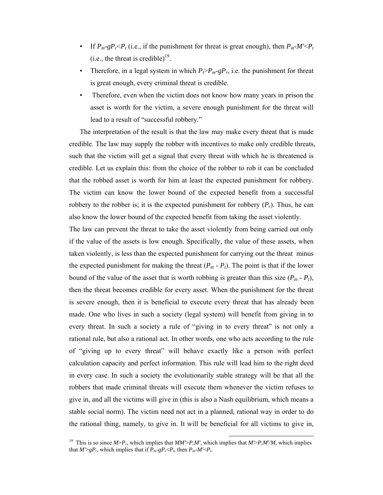- If  $P_m$ -g $P_r$   $\leq P_t$  (i.e., if the punishment for threat is great enough), then  $P_m$ - $M' \leq P_t$ (i.e., the threat is credible) $^{19}$ .
- Therefore, in a legal system in which  $P_f > P_m gP_r$ , i.e. the punishment for threat is great enough, every criminal threat is credible.
- Therefore, even when the victim does not know how many years in prison the asset is worth for the victim, a severe enough punishment for the threat will lead to a result of "successful robbery."

The interpretation of the result is that the law may make every threat that is made credible. The law may supply the robber with incentives to make only credible threats, such that the victim will get a signal that every threat with which he is threatened is credible. Let us explain this: from the choice of the robber to rob it can be concluded that the robbed asset is worth for him at least the expected punishment for robbery. The victim can know the lower bound of the expected benefit from a successful robbery to the robber is; it is the expected punishment for robbery  $(P_r)$ . Thus, he can also know the lower bound of the expected benefit from taking the asset violently.

The law can prevent the threat to take the asset violently from being carried out only if the value of the assets is low enough. Specifically, the value of these assets, when taken violently, is less than the expected punishment for carrying out the threat minus the expected punishment for making the threat  $(P_m - P_t)$ . The point is that if the lower bound of the value of the asset that is worth robbing is greater than this size  $(P_m - P_t)$ , then the threat becomes credible for every asset. When the punishment for the threat is severe enough, then it is beneficial to execute every threat that has already been made. One who lives in such a society (legal system) will benefit from giving in to every threat. In such a society a rule of "giving in to every threat" is not only a rational rule, but also a rational act. In other words, one who acts according to the rule of "giving up to every threat" will behave exactly like a person with perfect calculation capacity and perfect information. This rule will lead him to the right deed in every case. In such a society the evolutionarily stable strategy will be that all the robbers that made criminal threats will execute them whenever the victim refuses to give in, and all the victims will give in (this is also a Nash equilibrium, which means a stable social norm). The victim need not act in a planned, rational way in order to do the rational thing, namely, to give in. It will be beneficial for all victims to give in,

 <sup>19</sup> This is so since *M*>*Pr*, which implies that *MM'*>*PrM'*, which implies that *M'*>*PrM'*/*M*, which implies that  $M > gP_r$ , which implies that if  $P_m-gP_r < P_t$ , then  $P_m-M' < P_t$ .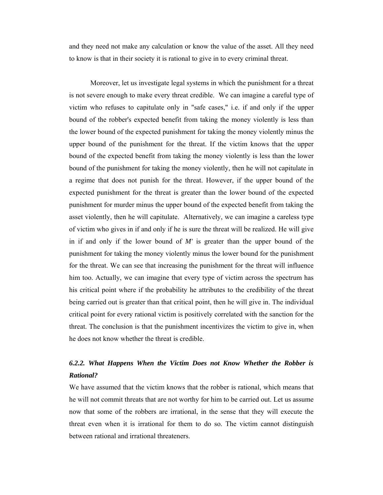and they need not make any calculation or know the value of the asset. All they need to know is that in their society it is rational to give in to every criminal threat.

Moreover, let us investigate legal systems in which the punishment for a threat is not severe enough to make every threat credible. We can imagine a careful type of victim who refuses to capitulate only in "safe cases," i.e. if and only if the upper bound of the robber's expected benefit from taking the money violently is less than the lower bound of the expected punishment for taking the money violently minus the upper bound of the punishment for the threat. If the victim knows that the upper bound of the expected benefit from taking the money violently is less than the lower bound of the punishment for taking the money violently, then he will not capitulate in a regime that does not punish for the threat. However, if the upper bound of the expected punishment for the threat is greater than the lower bound of the expected punishment for murder minus the upper bound of the expected benefit from taking the asset violently, then he will capitulate. Alternatively, we can imagine a careless type of victim who gives in if and only if he is sure the threat will be realized. He will give in if and only if the lower bound of *M'* is greater than the upper bound of the punishment for taking the money violently minus the lower bound for the punishment for the threat. We can see that increasing the punishment for the threat will influence him too. Actually, we can imagine that every type of victim across the spectrum has his critical point where if the probability he attributes to the credibility of the threat being carried out is greater than that critical point, then he will give in. The individual critical point for every rational victim is positively correlated with the sanction for the threat. The conclusion is that the punishment incentivizes the victim to give in, when he does not know whether the threat is credible.

### *6.2.2. What Happens When the Victim Does not Know Whether the Robber is Rational?*

We have assumed that the victim knows that the robber is rational, which means that he will not commit threats that are not worthy for him to be carried out. Let us assume now that some of the robbers are irrational, in the sense that they will execute the threat even when it is irrational for them to do so. The victim cannot distinguish between rational and irrational threateners.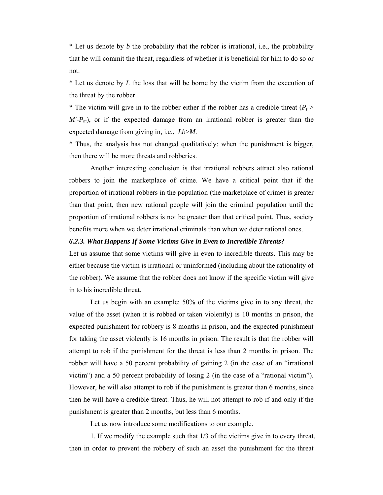\* Let us denote by *b* the probability that the robber is irrational, i.e., the probability that he will commit the threat, regardless of whether it is beneficial for him to do so or not.

\* Let us denote by *L* the loss that will be borne by the victim from the execution of the threat by the robber.

\* The victim will give in to the robber either if the robber has a credible threat  $(P_t >$  $M'-P_m$ ), or if the expected damage from an irrational robber is greater than the expected damage from giving in, i.e., *Lb*>*M*.

\* Thus, the analysis has not changed qualitatively: when the punishment is bigger, then there will be more threats and robberies.

Another interesting conclusion is that irrational robbers attract also rational robbers to join the marketplace of crime. We have a critical point that if the proportion of irrational robbers in the population (the marketplace of crime) is greater than that point, then new rational people will join the criminal population until the proportion of irrational robbers is not be greater than that critical point. Thus, society benefits more when we deter irrational criminals than when we deter rational ones.

#### *6.2.3. What Happens If Some Victims Give in Even to Incredible Threats?*

Let us assume that some victims will give in even to incredible threats. This may be either because the victim is irrational or uninformed (including about the rationality of the robber). We assume that the robber does not know if the specific victim will give in to his incredible threat.

Let us begin with an example: 50% of the victims give in to any threat, the value of the asset (when it is robbed or taken violently) is 10 months in prison, the expected punishment for robbery is 8 months in prison, and the expected punishment for taking the asset violently is 16 months in prison. The result is that the robber will attempt to rob if the punishment for the threat is less than 2 months in prison. The robber will have a 50 percent probability of gaining 2 (in the case of an "irrational victim") and a 50 percent probability of losing 2 (in the case of a "rational victim"). However, he will also attempt to rob if the punishment is greater than 6 months, since then he will have a credible threat. Thus, he will not attempt to rob if and only if the punishment is greater than 2 months, but less than 6 months.

Let us now introduce some modifications to our example.

1. If we modify the example such that 1/3 of the victims give in to every threat, then in order to prevent the robbery of such an asset the punishment for the threat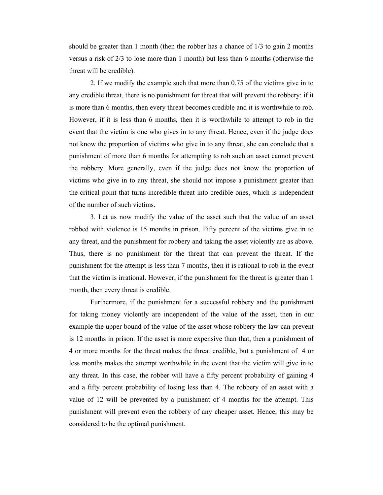should be greater than 1 month (then the robber has a chance of 1/3 to gain 2 months versus a risk of 2/3 to lose more than 1 month) but less than 6 months (otherwise the threat will be credible).

2. If we modify the example such that more than 0.75 of the victims give in to any credible threat, there is no punishment for threat that will prevent the robbery: if it is more than 6 months, then every threat becomes credible and it is worthwhile to rob. However, if it is less than 6 months, then it is worthwhile to attempt to rob in the event that the victim is one who gives in to any threat. Hence, even if the judge does not know the proportion of victims who give in to any threat, she can conclude that a punishment of more than 6 months for attempting to rob such an asset cannot prevent the robbery. More generally, even if the judge does not know the proportion of victims who give in to any threat, she should not impose a punishment greater than the critical point that turns incredible threat into credible ones, which is independent of the number of such victims.

3. Let us now modify the value of the asset such that the value of an asset robbed with violence is 15 months in prison. Fifty percent of the victims give in to any threat, and the punishment for robbery and taking the asset violently are as above. Thus, there is no punishment for the threat that can prevent the threat. If the punishment for the attempt is less than 7 months, then it is rational to rob in the event that the victim is irrational. However, if the punishment for the threat is greater than 1 month, then every threat is credible.

Furthermore, if the punishment for a successful robbery and the punishment for taking money violently are independent of the value of the asset, then in our example the upper bound of the value of the asset whose robbery the law can prevent is 12 months in prison. If the asset is more expensive than that, then a punishment of 4 or more months for the threat makes the threat credible, but a punishment of 4 or less months makes the attempt worthwhile in the event that the victim will give in to any threat. In this case, the robber will have a fifty percent probability of gaining 4 and a fifty percent probability of losing less than 4. The robbery of an asset with a value of 12 will be prevented by a punishment of 4 months for the attempt. This punishment will prevent even the robbery of any cheaper asset. Hence, this may be considered to be the optimal punishment.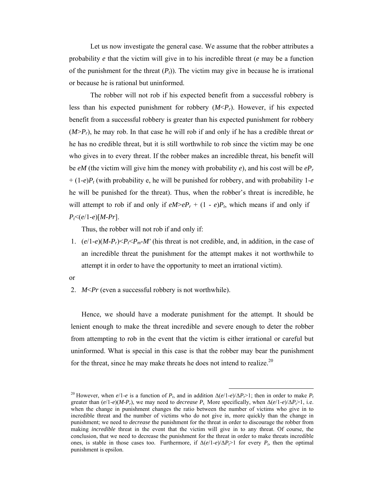Let us now investigate the general case. We assume that the robber attributes a probability *e* that the victim will give in to his incredible threat (*e* may be a function of the punishment for the threat  $(P<sub>t</sub>)$ ). The victim may give in because he is irrational or because he is rational but uninformed.

The robber will not rob if his expected benefit from a successful robbery is less than his expected punishment for robbery (*M*<*Pr*). However, if his expected benefit from a successful robbery is greater than his expected punishment for robbery (*M*>*Pr*), he may rob. In that case he will rob if and only if he has a credible threat *or* he has no credible threat, but it is still worthwhile to rob since the victim may be one who gives in to every threat. If the robber makes an incredible threat, his benefit will be *eM* (the victim will give him the money with probability *e*), and his cost will be *ePr* + (1-*e*)*Pt* (with probability e, he will be punished for robbery, and with probability 1-*e*  he will be punished for the threat). Thus, when the robber's threat is incredible, he will attempt to rob if and only if  $eM > eP_r + (1 - e)P_t$ , which means if and only if *Pt*<(*e*/1-*e*)[*M*-*Pr*].

Thus, the robber will not rob if and only if:

1.  $(e/1-e)(M-P_r) \le P_f \le P_m-M'$  (his threat is not credible, and, in addition, in the case of an incredible threat the punishment for the attempt makes it not worthwhile to attempt it in order to have the opportunity to meet an irrational victim).

or

2. *M*<*Pr* (even a successful robbery is not worthwhile).

Hence, we should have a moderate punishment for the attempt. It should be lenient enough to make the threat incredible and severe enough to deter the robber from attempting to rob in the event that the victim is either irrational or careful but uninformed. What is special in this case is that the robber may bear the punishment for the threat, since he may make threats he does not intend to realize. $20$ 

<sup>&</sup>lt;sup>20</sup> However, when  $e/1-e$  is a function of  $P_t$ , and in addition  $\Delta(e/1-e)/\Delta P > 1$ ; then in order to make  $P_t$ greater than  $(e/1-e)(M-P_r)$ , we may need to *decrease*  $P_t$ . More specifically, when  $\Delta(e/1-e)/\Delta P > 1$ , i.e. when the change in punishment changes the ratio between the number of victims who give in to incredible threat and the number of victims who do not give in, more quickly than the change in punishment; we need to *decrease* the punishment for the threat in order to discourage the robber from making *incredible* threat in the event that the victim will give in to any threat. Of course, the conclusion, that we need to decrease the punishment for the threat in order to make threats incredible ones, is stable in those cases too. Furthermore, if  $\Delta(e/1-e)/\Delta P_f > 1$  for every  $P_t$ , then the optimal punishment is epsilon.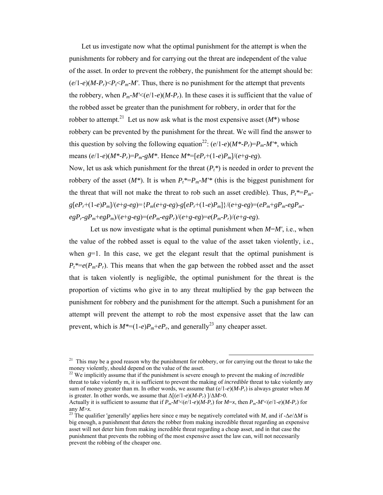Let us investigate now what the optimal punishment for the attempt is when the punishments for robbery and for carrying out the threat are independent of the value of the asset. In order to prevent the robbery, the punishment for the attempt should be:  $(e/1-e)(M-P_r) \leq P_f \leq P_m-M'$ . Thus, there is no punishment for the attempt that prevents the robbery, when  $P_m$ - $M' \leq (e/1-e)(M-P_r)$ . In these cases it is sufficient that the value of the robbed asset be greater than the punishment for robbery, in order that for the robber to attempt.<sup>21</sup> Let us now ask what is the most expensive asset  $(M^*)$  whose robbery can be prevented by the punishment for the threat. We will find the answer to this question by solving the following equation<sup>22</sup>:  $(e/1-e)(M^*P_r)=P_m-M'^*$ , which means  $(e/1-e)(M^*P_r)=P_m-gM^*$ . Hence  $M^*=[eP_r+(1-e)P_m]/(e+g-eg)$ .

Now, let us ask which punishment for the threat  $(P_t^*)$  is needed in order to prevent the robbery of the asset  $(M^*)$ . It is when  $P_t^* = P_m - M'^*$  (this is the biggest punishment for the threat that will not make the threat to rob such an asset credible). Thus,  $P_t^* = P_m$  $g[eP_r+(1-e)P_m]/(e+g-eg) = {P_m(e+g-eg)-g[eP_r+(1-e)P_m]}/(e+g-eg) = (eP_m+gP_m-egP_m-eg)$  $egP_r-gP_m+egP_m)/(e+g-eg)=(eP_m-egP_r)/(e+g-eg)=e(P_m-P_r)/(e+g-eg).$ 

Let us now investigate what is the optimal punishment when *M*=*M'*, i.e., when the value of the robbed asset is equal to the value of the asset taken violently, i.e., when  $g=1$ . In this case, we get the elegant result that the optimal punishment is  $P_t^* = e(P_m - P_r)$ . This means that when the gap between the robbed asset and the asset that is taken violently is negligible, the optimal punishment for the threat is the proportion of victims who give in to any threat multiplied by the gap between the punishment for robbery and the punishment for the attempt. Such a punishment for an attempt will prevent the attempt to rob the most expensive asset that the law can prevent, which is  $M^*=(1-e)P_m+eP_r$ , and generally<sup>23</sup> any cheaper asset.

 $21$  This may be a good reason why the punishment for robbery, or for carrying out the threat to take the money violently, should depend on the value of the asset.

<sup>22</sup> We implicitly assume that if the punishment is severe enough to prevent the making of *incredible* threat to take violently m, it is sufficient to prevent the making of *incredible* threat to take violently any sum of money greater than m. In other words, we assume that  $(e/1-e)(M-P_r)$  is always greater when M is greater. In other words, we assume that  $\Delta[(e/1-e)(M-P_r)]/\Delta M>0$ .

Actually it is sufficient to assume that if  $P_m \cdot M' \leq (e/1 - e)(M - P_r)$  for  $M = x$ , then  $P_m \cdot M' \leq (e/1 - e)(M - P_r)$  for any  $M \geq x$ .

<sup>&</sup>lt;sup>23</sup>. The qualifier 'generally' applies here since e may be negatively correlated with *M*, and if - $\Delta e / \Delta M$  is big enough, a punishment that deters the robber from making incredible threat regarding an expensive asset will not deter him from making incredible threat regarding a cheap asset, and in that case the punishment that prevents the robbing of the most expensive asset the law can, will not necessarily prevent the robbing of the cheaper one.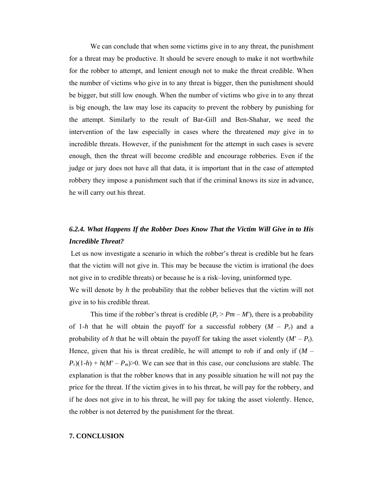We can conclude that when some victims give in to any threat, the punishment for a threat may be productive. It should be severe enough to make it not worthwhile for the robber to attempt, and lenient enough not to make the threat credible. When the number of victims who give in to any threat is bigger, then the punishment should be bigger, but still low enough. When the number of victims who give in to any threat is big enough, the law may lose its capacity to prevent the robbery by punishing for the attempt. Similarly to the result of Bar-Gill and Ben-Shahar, we need the intervention of the law especially in cases where the threatened *may* give in to incredible threats. However, if the punishment for the attempt in such cases is severe enough, then the threat will become credible and encourage robberies. Even if the judge or jury does not have all that data, it is important that in the case of attempted robbery they impose a punishment such that if the criminal knows its size in advance, he will carry out his threat.

### *6.2.4. What Happens If the Robber Does Know That the Victim Will Give in to His Incredible Threat?*

 Let us now investigate a scenario in which the robber's threat is credible but he fears that the victim will not give in. This may be because the victim is irrational (he does not give in to credible threats) or because he is a risk–loving, uninformed type.

We will denote by *h* the probability that the robber believes that the victim will not give in to his credible threat.

This time if the robber's threat is credible  $(P_t > Pm - M')$ , there is a probability of 1-*h* that he will obtain the payoff for a successful robbery  $(M - P_r)$  and a probability of *h* that he will obtain the payoff for taking the asset violently  $(M' - P_t)$ . Hence, given that his is threat credible, he will attempt to rob if and only if  $(M P_r$ )(1-*h*) + *h*(*M'* – *P<sub>m</sub>*)>0. We can see that in this case, our conclusions are stable. The explanation is that the robber knows that in any possible situation he will not pay the price for the threat. If the victim gives in to his threat, he will pay for the robbery, and if he does not give in to his threat, he will pay for taking the asset violently. Hence, the robber is not deterred by the punishment for the threat.

#### **7. CONCLUSION**